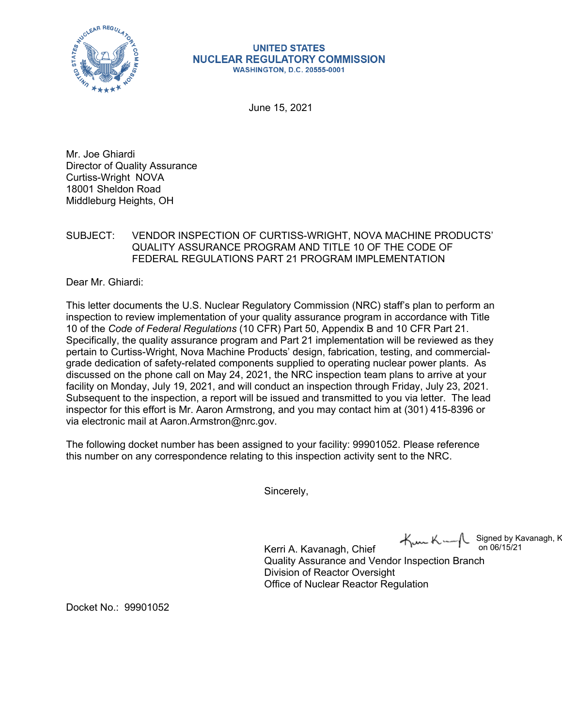

## **UNITED STATES NUCLEAR REGULATORY COMMISSION WASHINGTON, D.C. 20555-0001**

June 15, 2021

Mr. Joe Ghiardi Director of Quality Assurance Curtiss-Wright NOVA 18001 Sheldon Road Middleburg Heights, OH

## SUBJECT: VENDOR INSPECTION OF CURTISS-WRIGHT, NOVA MACHINE PRODUCTS' QUALITY ASSURANCE PROGRAM AND TITLE 10 OF THE CODE OF FEDERAL REGULATIONS PART 21 PROGRAM IMPLEMENTATION

Dear Mr. Ghiardi:

This letter documents the U.S. Nuclear Regulatory Commission (NRC) staff's plan to perform an inspection to review implementation of your quality assurance program in accordance with Title 10 of the *Code of Federal Regulations* (10 CFR) Part 50, Appendix B and 10 CFR Part 21. Specifically, the quality assurance program and Part 21 implementation will be reviewed as they pertain to Curtiss-Wright, Nova Machine Products' design, fabrication, testing, and commercialgrade dedication of safety-related components supplied to operating nuclear power plants. As discussed on the phone call on May 24, 2021, the NRC inspection team plans to arrive at your facility on Monday, July 19, 2021, and will conduct an inspection through Friday, July 23, 2021. Subsequent to the inspection, a report will be issued and transmitted to you via letter. The lead inspector for this effort is Mr. Aaron Armstrong, and you may contact him at (301) 415-8396 or via electronic mail at Aaron.Armstron@nrc.gov.

The following docket number has been assigned to your facility: 99901052. Please reference this number on any correspondence relating to this inspection activity sent to the NRC.

Sincerely,

Signed by Kavanagh, K on 06/15/21

Kerri A. Kavanagh, Chief Quality Assurance and Vendor Inspection Branch Division of Reactor Oversight Office of Nuclear Reactor Regulation

Docket No.: 99901052